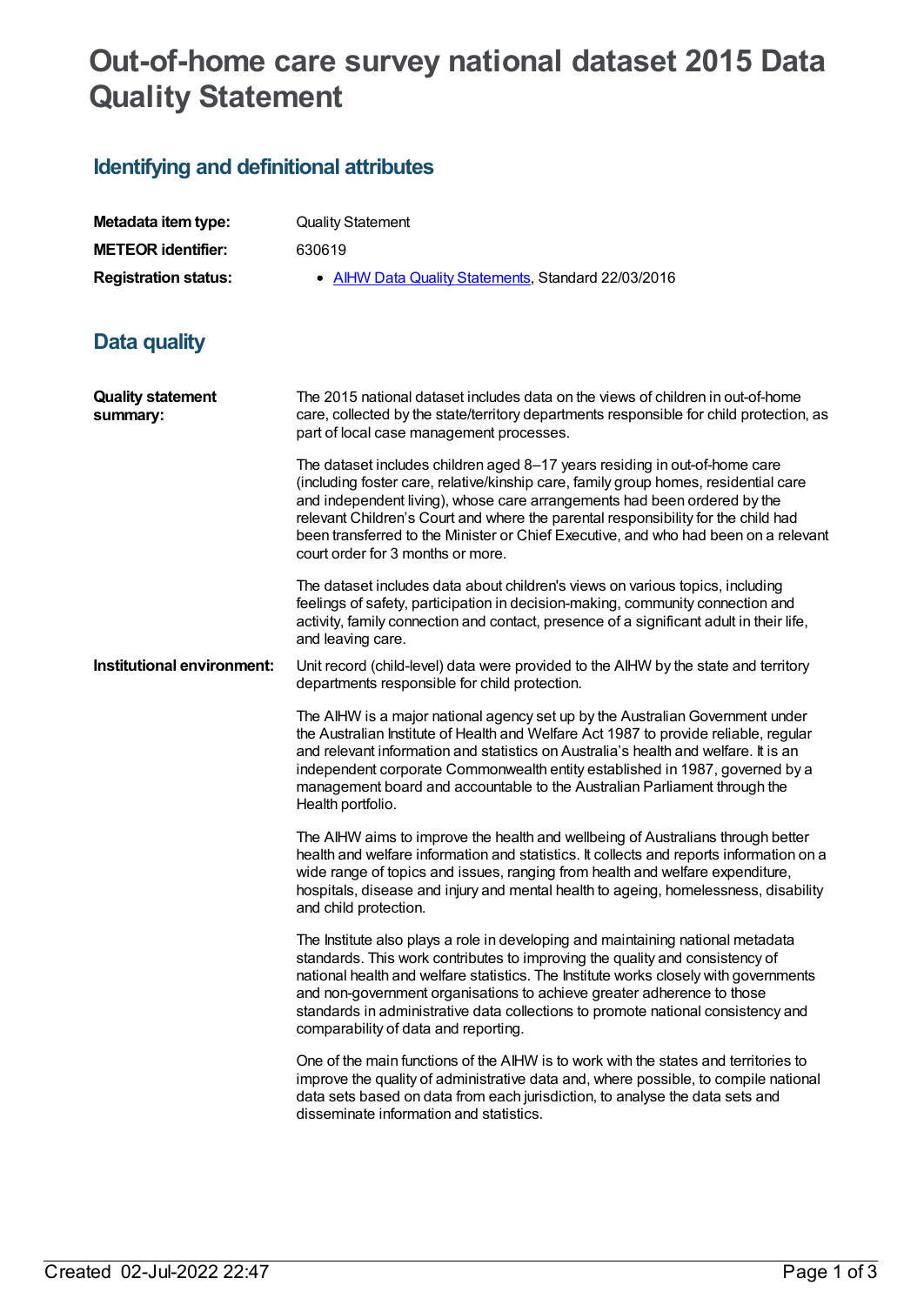## **Out-of-home care survey national dataset 2015 Data Quality Statement**

## **Identifying and definitional attributes**

| Metadata item type:                  |                                                                                                                                                                                                                                                                                                                                                                                                                                                                |
|--------------------------------------|----------------------------------------------------------------------------------------------------------------------------------------------------------------------------------------------------------------------------------------------------------------------------------------------------------------------------------------------------------------------------------------------------------------------------------------------------------------|
| <b>METEOR identifier:</b>            | <b>Quality Statement</b>                                                                                                                                                                                                                                                                                                                                                                                                                                       |
|                                      | 630619                                                                                                                                                                                                                                                                                                                                                                                                                                                         |
| <b>Registration status:</b>          | • AIHW Data Quality Statements, Standard 22/03/2016                                                                                                                                                                                                                                                                                                                                                                                                            |
| Data quality                         |                                                                                                                                                                                                                                                                                                                                                                                                                                                                |
| <b>Quality statement</b><br>summary: | The 2015 national dataset includes data on the views of children in out-of-home<br>care, collected by the state/territory departments responsible for child protection, as<br>part of local case management processes.                                                                                                                                                                                                                                         |
|                                      | The dataset includes children aged 8-17 years residing in out-of-home care<br>(including foster care, relative/kinship care, family group homes, residential care<br>and independent living), whose care arrangements had been ordered by the<br>relevant Children's Court and where the parental responsibility for the child had<br>been transferred to the Minister or Chief Executive, and who had been on a relevant<br>court order for 3 months or more. |
|                                      | The dataset includes data about children's views on various topics, including<br>feelings of safety, participation in decision-making, community connection and<br>activity, family connection and contact, presence of a significant adult in their life,<br>and leaving care.                                                                                                                                                                                |
| Institutional environment:           | Unit record (child-level) data were provided to the AIHW by the state and territory<br>departments responsible for child protection.                                                                                                                                                                                                                                                                                                                           |
|                                      | The AIHW is a major national agency set up by the Australian Government under<br>the Australian Institute of Health and Welfare Act 1987 to provide reliable, regular<br>and relevant information and statistics on Australia's health and welfare. It is an<br>independent corporate Commonwealth entity established in 1987, governed by a<br>management board and accountable to the Australian Parliament through the<br>Health portfolio.                 |
|                                      | The AIHW aims to improve the health and wellbeing of Australians through better<br>health and welfare information and statistics. It collects and reports information on a<br>wide range of topics and issues, ranging from health and welfare expenditure,<br>hospitals, disease and injury and mental health to ageing, homelessness, disability<br>and child protection.                                                                                    |
|                                      | The Institute also plays a role in developing and maintaining national metadata<br>standards. This work contributes to improving the quality and consistency of<br>national health and welfare statistics. The Institute works closely with governments<br>and non-government organisations to achieve greater adherence to those<br>standards in administrative data collections to promote national consistency and<br>comparability of data and reporting.  |
|                                      | One of the main functions of the AIHW is to work with the states and territories to<br>improve the quality of administrative data and, where possible, to compile national<br>data sets based on data from each jurisdiction, to analyse the data sets and<br>disseminate information and statistics.                                                                                                                                                          |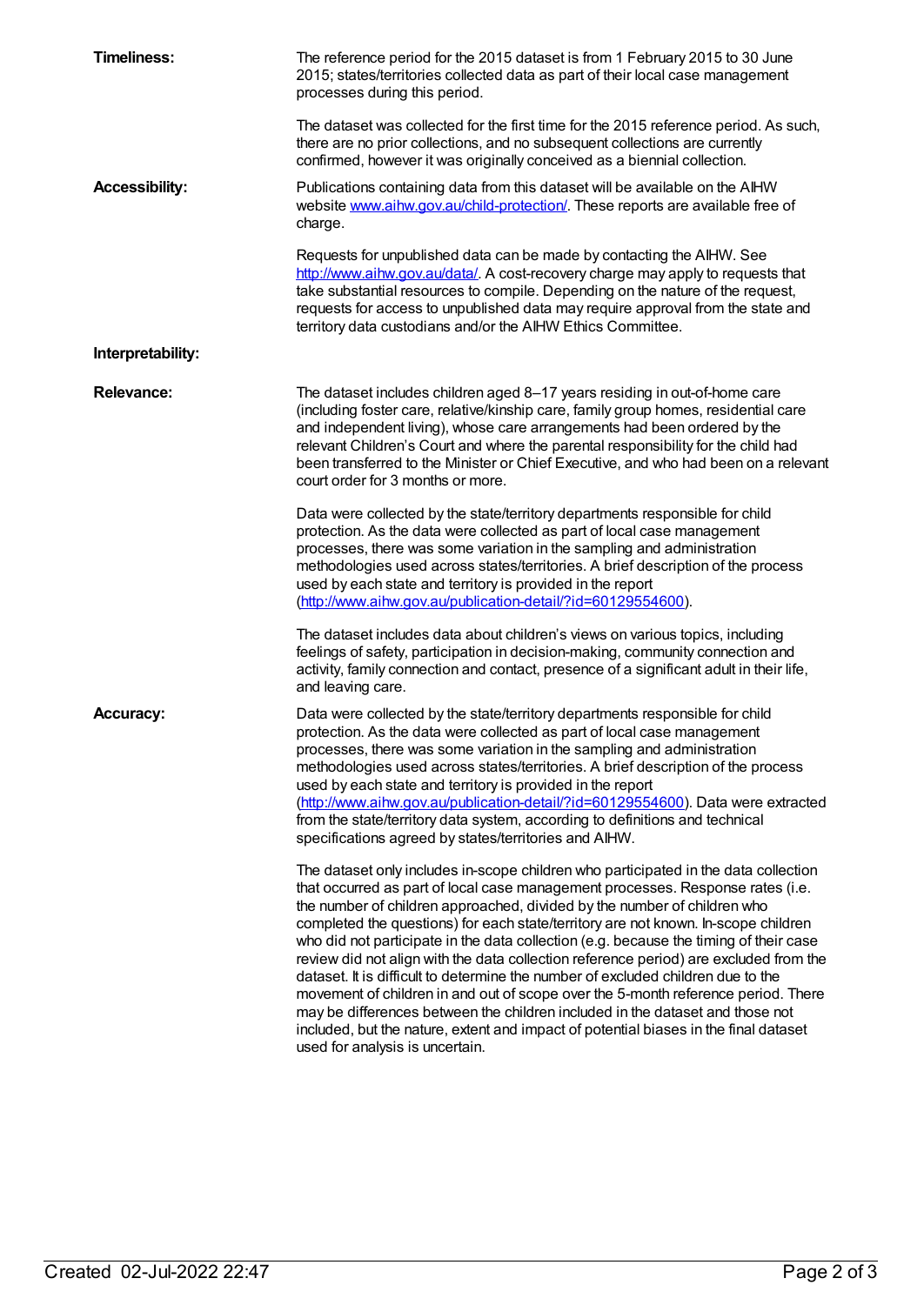| <b>Timeliness:</b>    | The reference period for the 2015 dataset is from 1 February 2015 to 30 June<br>2015; states/territories collected data as part of their local case management<br>processes during this period.                                                                                                                                                                                                                                                                                                                                                                                                                                                                                                                                                                                                                                                                                                                |
|-----------------------|----------------------------------------------------------------------------------------------------------------------------------------------------------------------------------------------------------------------------------------------------------------------------------------------------------------------------------------------------------------------------------------------------------------------------------------------------------------------------------------------------------------------------------------------------------------------------------------------------------------------------------------------------------------------------------------------------------------------------------------------------------------------------------------------------------------------------------------------------------------------------------------------------------------|
|                       | The dataset was collected for the first time for the 2015 reference period. As such,<br>there are no prior collections, and no subsequent collections are currently<br>confirmed, however it was originally conceived as a biennial collection.                                                                                                                                                                                                                                                                                                                                                                                                                                                                                                                                                                                                                                                                |
| <b>Accessibility:</b> | Publications containing data from this dataset will be available on the AIHW<br>website www.aihw.gov.au/child-protection/. These reports are available free of<br>charge.                                                                                                                                                                                                                                                                                                                                                                                                                                                                                                                                                                                                                                                                                                                                      |
|                       | Requests for unpublished data can be made by contacting the AIHW. See<br>http://www.aihw.gov.au/data/. A cost-recovery charge may apply to requests that<br>take substantial resources to compile. Depending on the nature of the request,<br>requests for access to unpublished data may require approval from the state and<br>territory data custodians and/or the AIHW Ethics Committee.                                                                                                                                                                                                                                                                                                                                                                                                                                                                                                                   |
| Interpretability:     |                                                                                                                                                                                                                                                                                                                                                                                                                                                                                                                                                                                                                                                                                                                                                                                                                                                                                                                |
| <b>Relevance:</b>     | The dataset includes children aged 8-17 years residing in out-of-home care<br>(including foster care, relative/kinship care, family group homes, residential care<br>and independent living), whose care arrangements had been ordered by the<br>relevant Children's Court and where the parental responsibility for the child had<br>been transferred to the Minister or Chief Executive, and who had been on a relevant<br>court order for 3 months or more.                                                                                                                                                                                                                                                                                                                                                                                                                                                 |
|                       | Data were collected by the state/territory departments responsible for child<br>protection. As the data were collected as part of local case management<br>processes, there was some variation in the sampling and administration<br>methodologies used across states/territories. A brief description of the process<br>used by each state and territory is provided in the report<br>(http://www.aihw.gov.au/publication-detail/?id=60129554600).                                                                                                                                                                                                                                                                                                                                                                                                                                                            |
|                       | The dataset includes data about children's views on various topics, including<br>feelings of safety, participation in decision-making, community connection and<br>activity, family connection and contact, presence of a significant adult in their life,<br>and leaving care.                                                                                                                                                                                                                                                                                                                                                                                                                                                                                                                                                                                                                                |
| <b>Accuracy:</b>      | Data were collected by the state/territory departments responsible for child<br>protection. As the data were collected as part of local case management<br>processes, there was some variation in the sampling and administration<br>methodologies used across states/territories. A brief description of the process<br>used by each state and territory is provided in the report<br>(http://www.aihw.gov.au/publication-detail/?id=60129554600). Data were extracted<br>from the state/territory data system, according to definitions and technical<br>specifications agreed by states/territories and AIHW.                                                                                                                                                                                                                                                                                               |
|                       | The dataset only includes in-scope children who participated in the data collection<br>that occurred as part of local case management processes. Response rates (i.e.<br>the number of children approached, divided by the number of children who<br>completed the questions) for each state/territory are not known. In-scope children<br>who did not participate in the data collection (e.g. because the timing of their case<br>review did not align with the data collection reference period) are excluded from the<br>dataset. It is difficult to determine the number of excluded children due to the<br>movement of children in and out of scope over the 5-month reference period. There<br>may be differences between the children included in the dataset and those not<br>included, but the nature, extent and impact of potential biases in the final dataset<br>used for analysis is uncertain. |